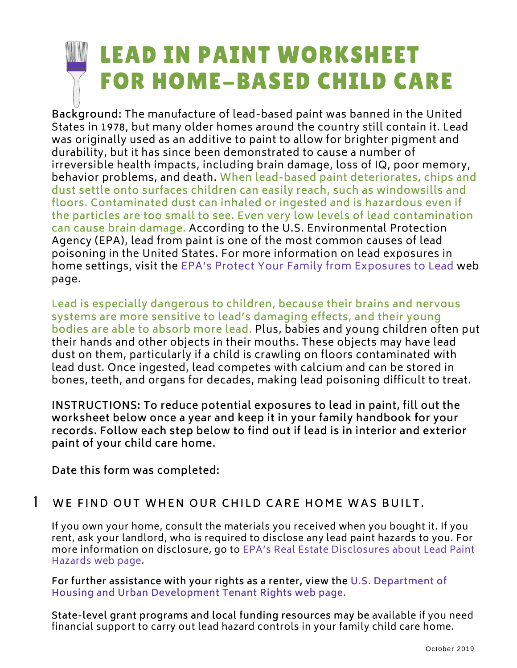# LEAD IN PAINT WORKSHEET FOR HOME-BASED CHILD CARE

**Background:** The manufacture of lead-based paint was banned in the United States in 1978, but many older homes around the country still contain it. Lead was originally used as an additive to paint to allow for brighter pigment and durability, but it has since been demonstrated to cause a number of irreversible health impacts, including brain damage, loss of IQ, poor memory, behavior problems, and death. **When lead-based paint deteriorates, chips and dust settle onto surfaces children can easily reach, such as windowsills and floors. Contaminated dust can inhaled or ingested and is hazardous even if the particles are too small to see. Even very low levels of lead contamination can cause brain damage.** According to the U.S. Environmental Protection Agency (EPA), lead from paint is one of the most common causes of lead poisoning in the United States. For more information on lead exposures in home settings, visit the EPA's Protect Your Family from Exposures to Lead web page.

L**ead is especially dangerous to children, because their brains and nervous systems are more sensitive to lead's damaging effects, and their young bodies are able to absorb more lead.** Plus, babies and young children often put their hands and other objects in their mouths. These objects may have lead dust on them, particularly if a child is crawling on floors contaminated with lead dust. Once ingested, lead competes with calcium and can be stored in bones, teeth, and organs for decades, making lead poisoning difficult to treat.

**[INSTRUCTIONS:](https://www.epa.gov/lead/protect-your-family-lead-your-home) To reduce potential exposures to lead in paint, fill out the worksheet below once a year and keep it in your family handbook for your records. Follow each step below to find out if lead is in interior and exterior paint of your child care home.**

**Date this form was completed:**

#### WE FIND OUT WHEN OUR CHILD CARE HOME WAS BUILT. 1

**I**f you own your home, consult the materials you received when you bought it. If you rent, ask your landlord, who is required to disclose any lead paint hazards to you. For more [information](https://www.epa.gov/lead/real-estate-disclosures-about-potential-lead-hazards) on disclosure, go to EPA's Real Estate Disclosures about Lead Paint Hazards web page.

**For further assistance with your rights as a renter, view the U.S. Department of Housing and Urban [Development](https://www.hud.gov/topics/rental_assistance/tenantrights) Tenant Rights web page.**

**State-level grant programs and local funding resources may be** available if you need financial support to carry out lead hazard controls in your family child care home.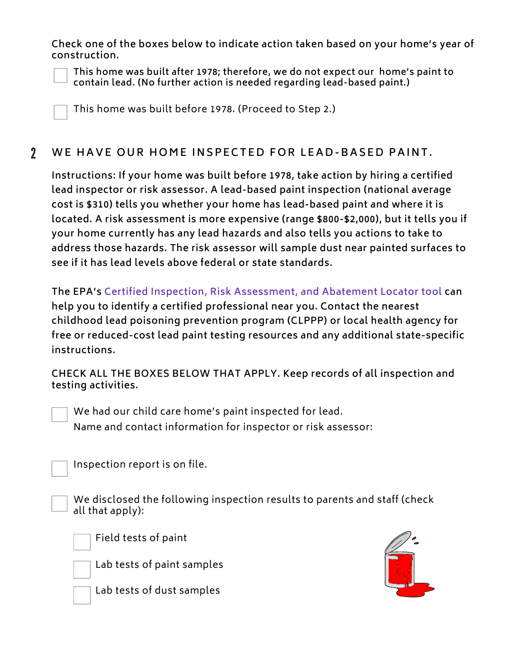**Check one of the boxes below to indicate action taken based on your home's year of [construction.](https://www.hud.gov/topics/rental_assistance/tenantrights)**



**This home was built after 1978; therefore, we do not expect our home's paint to contain lead. (No further action is needed regarding [lead-based](https://www.hud.gov/topics/rental_assistance/tenantrights) paint.)**

This home was built before 1978. [\(Proceed](https://www.hud.gov/topics/rental_assistance/tenantrights) to Step 2.)

#### 2 WE HAVE OUR HOME INSPECTED FOR LEAD-BASED PAINT.

**Instructions: If your home was built before 1978, take action by hiring a certified lead inspector or risk assessor. A lead-based paint inspection (national average cost is \$310) tells you whether your home has lead-based paint and where it is located. A risk assessment is more expensive (range \$800-\$2,000), but it tells you if your home currently has any lead hazards and also tells you actions to take to address those hazards. The risk assessor will sample dust near painted surfaces to see if it has lead levels above federal or state standards.**

**The EPA's Certified Inspection, Risk Assessment, and Abatement Locator tool can help you to identify a certified professional near you. Contact the nearest childhood lead poisoning prevention program (CLPPP) or local health agency for free or reduced-cost lead paint testing resources and any additional [state-specific](https://cfpub.epa.gov/flpp/pub/index.cfm?do=main.firmSearchAbatement) instructions.**

**CHECK ALL THE BOXES BELOW THAT APPLY. Keep records of all [inspection](https://www.epa.gov/lead/protect-your-family-lead-your-home) and testing activities.**

We had our child care home's paint [inspected](https://www.hud.gov/topics/rental_assistance/tenantrights) for lead. Name and contact [information](https://www.hud.gov/topics/rental_assistance/tenantrights) for inspector or risk assessor:

[Inspection](https://www.hud.gov/topics/rental_assistance/tenantrights) report is on file.

We disclosed the following [inspection](https://www.hud.gov/topics/rental_assistance/tenantrights) results to parents and staff (check all that apply):



Field tests of [paint](https://www.hud.gov/topics/rental_assistance/tenantrights)



Lab tests of paint [samples](https://www.hud.gov/topics/rental_assistance/tenantrights)



Lab tests of dust [samples](https://www.hud.gov/topics/rental_assistance/tenantrights)

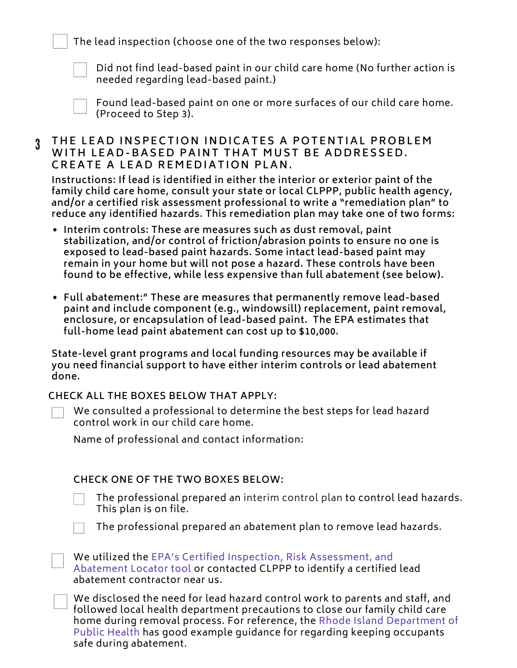The lead [inspection](https://www.hud.gov/topics/rental_assistance/tenantrights) (choose one of the two responses below):

Did not find [lead-based](https://www.hud.gov/topics/rental_assistance/tenantrights) paint in our child care home (No further action is needed regarding lead-based paint.)



Found [lead-based](https://www.hud.gov/topics/rental_assistance/tenantrights) paint on one or more surfaces of our child care home. (Proceed to Step 3).

#### THE LEAD INSPECTION INDICATES A POTENTIAL PROBLEM WITH LEAD-BASED PAINT THAT MUST BE ADDRESSED.  $R$  **C REATE** A LEAD REMEDIATION PLAN. 3

**Instructions: If lead is identified in either the interior or exterior paint of the family child care home, consult your state or local CLPPP, public health agency, and/or a certified risk assessment professional to write a ["remediation](https://www.hud.gov/topics/rental_assistance/tenantrights) plan" to reduce any identified hazards. This remediation plan may take one of two forms:**

- **Interim controls: These are measures such as dust removal, paint stabilization, and/or control of [friction/abrasion](https://www.hud.gov/topics/rental_assistance/tenantrights) points to ensure no one is exposed to lead-based paint hazards. Some intact lead-based paint may remain in your home but will not pose a hazard. These controls have been found to be effective, while less expensive than full abatement (see below).**
- **Full abatement:" These are measures that permanently remove lead-based paint and include component (e.g., windowsill) replacement, paint removal, enclosure, or encapsulation of lead-based paint. The EPA estimates that full-home lead paint abatement can cost up to \$10,000.**

**State-level grant programs and local funding resources may be available if you need financial support to have either interim controls or lead abatement done.**

## **CHECK ALL THE BOXES [BELOW](https://www.hud.gov/topics/rental_assistance/tenantrights) THAT APPLY:**

We consulted a [professional](https://www.hud.gov/topics/rental_assistance/tenantrights) to determine the best steps for lead hazard control work in our child care home.

Name of professional and contact information:

## **CHECK ONE OF THE TWO BOXES [BELOW:](https://www.hud.gov/topics/rental_assistance/tenantrights)**

The [professional](https://www.hud.gov/topics/rental_assistance/tenantrights) prepared an interim control plan to control lead hazards. This plan is on file.



The [professional](https://www.hud.gov/topics/rental_assistance/tenantrights) prepared an abatement plan to remove lead hazards.

We utilized the EPA's Certified Inspection, Risk [Assessment,](https://cfpub.epa.gov/flpp/pub/index.cfm?do=main.firmSearchAbatement) and Abatement Locator tool or contacted CLPPP to identify a certified lead abatement contractor near us.

We disclosed the need for lead hazard control work to parents and staff, and followed local health department precautions to close our family child care home during removal process. For reference, the Rhode Island [Department](http://health.ri.gov/publications/brochures/AreYouDisturbingLeadPaint.pdf) of Public Health has good example guidance for regarding keeping occupants safe during abatement.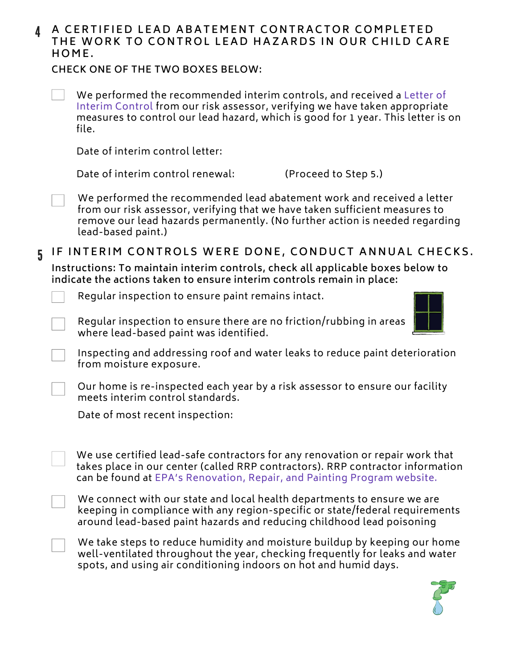| 4 A CERTIFIED LEAD ABATEMENT CONTRACTOR COMPLETED  |
|----------------------------------------------------|
| THE WORK TO CONTROL LEAD HAZARDS IN OUR CHILD CARE |
| HOME.                                              |

**CHECK ONE OF THE TWO BOXES [BELOW:](https://cfpub.epa.gov/flpp/pub/index.cfm?do=main.firmSearchAbatement)**

We performed the [recommended](https://www.mass.gov/service-details/learn-about-interim-control-of-lead-paint-hazards) interim controls, and received a Letter of Interim Control from our risk assessor, verifying we have taken appropriate measures to control our lead hazard, which is good for 1 year. This letter is on file.

Date of interim control letter:

Date of interim control renewal: (Proceed to Step 5.)

We performed the [recommended](https://cfpub.epa.gov/flpp/pub/index.cfm?do=main.firmSearchAbatement) lead abatement work and received a letter from our risk assessor, verifying that we have taken sufficient measures to remove our lead hazards permanently. (No further action is needed regarding lead-based paint.)

5 IF INTERIM CONTROLS WERE DONE, CONDUCT ANNUAL CHECKS.

**[Instructions:](https://cfpub.epa.gov/flpp/pub/index.cfm?do=main.firmSearchAbatement) To maintain interim controls, check all applicable boxes below to indicate the actions taken to ensure interim controls remain in place:**

Regular [inspection](https://cfpub.epa.gov/flpp/pub/index.cfm?do=main.firmSearchAbatement) to ensure paint remains intact.

Regular inspection to ensure there are no [friction/rubbing](https://cfpub.epa.gov/flpp/pub/index.cfm?do=main.firmSearchAbatement) in areas where lead-based paint was identified.

Inspecting and addressing roof and water leaks to reduce paint [deterioration](https://cfpub.epa.gov/flpp/pub/index.cfm?do=main.firmSearchAbatement) from moisture exposure.

Our home is [re-inspected](https://cfpub.epa.gov/flpp/pub/index.cfm?do=main.firmSearchAbatement) each year by a risk assessor to ensure our facility meets interim control standards.

Date of most recent inspection:

We use certified lead-safe contractors for any renovation or repair work that takes place in our center (called RRP [contractors\).](https://www.epa.gov/lead/renovation-repair-and-painting-program-contractors) RRP contractor information can be found at EPA's Renovation, Repair, and Painting Program website.

We connect with our state and local health departments to ensure we are keeping in compliance with any [region-specific](https://www.epa.gov/lead/renovation-repair-and-painting-program-contractors) or state/federal requirements around lead-based paint hazards and reducing childhood lead poisoning

We take steps to reduce humidity and moisture buildup by keeping our home [well-ventilated](https://www.epa.gov/lead/renovation-repair-and-painting-program-contractors) throughout the year, checking frequently for leaks and water spots, and using air conditioning indoors on hot and humid days.